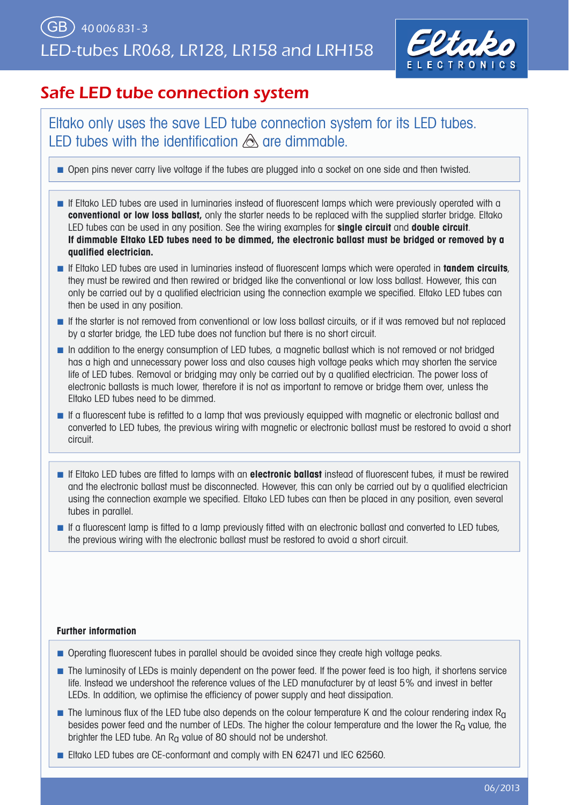

## Safe LED tube connection system

Eltako only uses the save LED tube connection system for its LED tubes. LED tubes with the identification  $\triangle$  are dimmable.

■ Open pins never carry live voltage if the tubes are plugged into a socket on one side and then twisted.

- If Eltako LED tubes are used in luminaries instead of fluorescent lamps which were previously operated with a **conventional or low loss ballast,** only the starter needs to be replaced with the supplied starter bridge. Eltako LED tubes can be used in any position. See the wiring examples for **single circuit** and **double circuit**. **If dimmable Eltako LED tubes need to be dimmed, the electronic ballast must be bridged or removed by a qualifi ed electrician.**
- **If Eltako LED tubes are used in luminaries instead of fluorescent lamps which were operated in <b>tandem circuits**, they must be rewired and then rewired or bridged like the conventional or low loss ballast. However, this can only be carried out by a qualified electrician using the connection example we specified. Eltako LED tubes can then be used in any position.
- If the starter is not removed from conventional or low loss ballast circuits, or if it was removed but not replaced by a starter bridge, the LED tube does not function but there is no short circuit.
- In addition to the energy consumption of LED tubes, a magnetic ballast which is not removed or not bridged has a high and unnecessary power loss and also causes high voltage peaks which may shorten the service life of LED tubes. Removal or bridging may only be carried out by a qualified electrician. The power loss of electronic ballasts is much lower, therefore it is not as important to remove or bridge them over, unless the Eltako LED tubes need to be dimmed.
- If a fluorescent tube is refitted to a lamp that was previously equipped with magnetic or electronic ballast and converted to LED tubes, the previous wiring with magnetic or electronic ballast must be restored to avoid a short circuit.
- If Eltako LED tubes are fitted to lamps with an **electronic ballast** instead of fluorescent tubes, it must be rewired and the electronic ballast must be disconnected. However, this can only be carried out by a qualified electrician using the connection example we specified. Eltako LED tubes can then be placed in any position, even several tubes in parallel.
- If a fluorescent lamp is fitted to a lamp previously fitted with an electronic ballast and converted to LED tubes, the previous wiring with the electronic ballast must be restored to avoid a short circuit.

#### **Further information**

- Operating fluorescent tubes in parallel should be avoided since they create high voltage peaks.
- The luminosity of LEDs is mainly dependent on the power feed. If the power feed is too high, it shortens service life. Instead we undershoot the reference values of the LED manufacturer by at least 5% and invest in better LEDs. In addition, we optimise the efficiency of power supply and heat dissipation.
- **■** The luminous flux of the LED tube also depends on the colour temperature K and the colour rendering index  $R_0$ besides power feed and the number of LEDs. The higher the colour temperature and the lower the R<sub>a</sub> value, the brighter the LED tube. An  $R<sub>0</sub>$  value of 80 should not be undershot.
- Eltako LED tubes are CE-conformant and comply with EN 62471 und IEC 62560.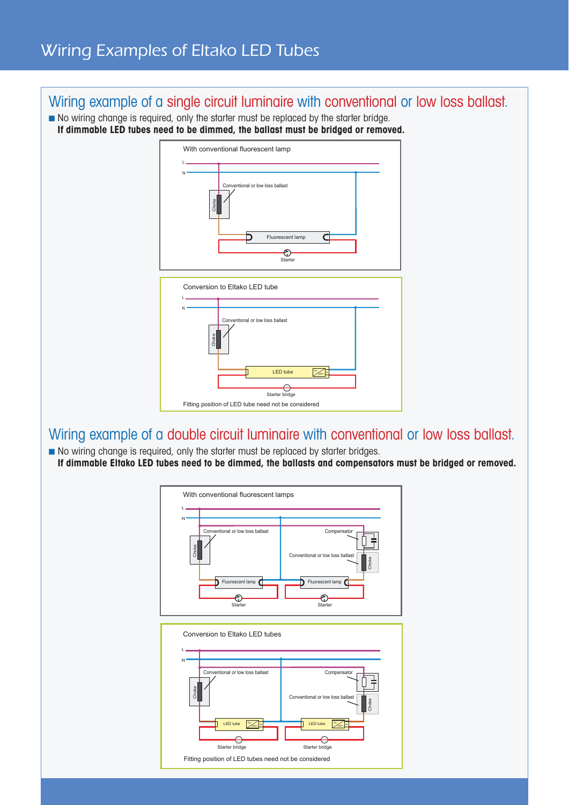### Wiring example of a single circuit luminaire with conventional or low loss ballast.

■ No wiring change is required, only the starter must be replaced by the starter bridge. **If dimmable LED tubes need to be dimmed, the ballast must be bridged or removed.**



### Wiring example of a double circuit luminaire with conventional or low loss ballast.

■ No wiring change is required, only the starter must be replaced by starter bridges. **If dimmable Eltako LED tubes need to be dimmed, the ballasts and compensators must be bridged or removed.**

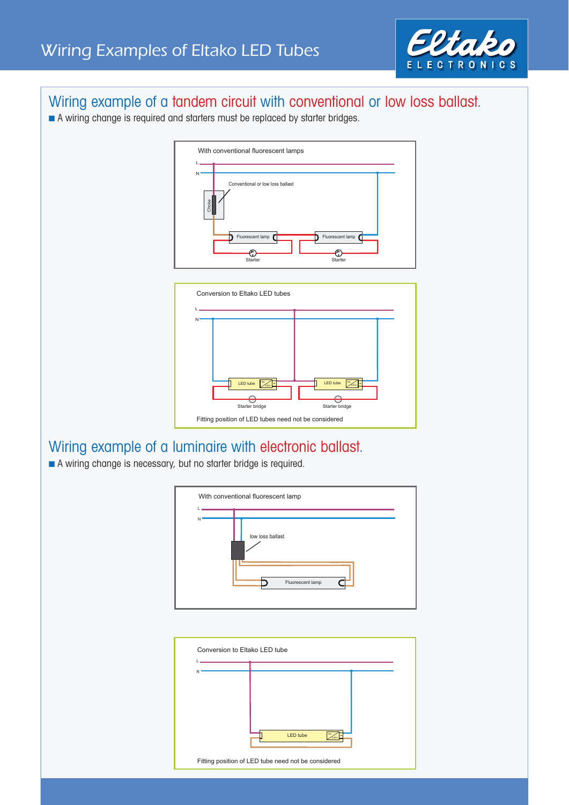

### Wiring example of a tandem circuit with conventional or low loss ballast.

■ A wiring change is required and starters must be replaced by starter bridges.





# Wiring example of a luminaire with electronic ballast.

■ A wiring change is necessary, but no starter bridge is required.